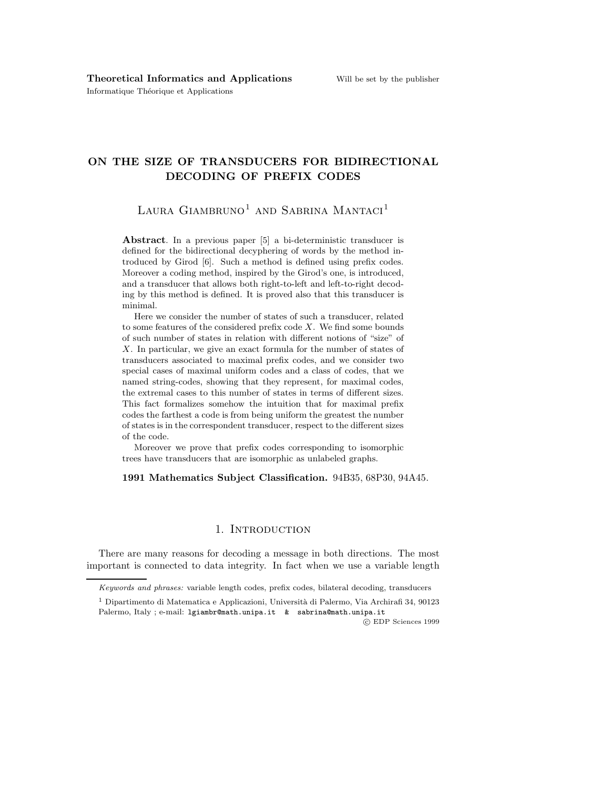Informatique Théorique et Applications

# ON THE SIZE OF TRANSDUCERS FOR BIDIRECTIONAL DECODING OF PREFIX CODES

LAURA GIAMBRUNO<sup>1</sup> AND SABRINA MANTACI<sup>1</sup>

Abstract. In a previous paper [5] a bi-deterministic transducer is defined for the bidirectional decyphering of words by the method introduced by Girod [6]. Such a method is defined using prefix codes. Moreover a coding method, inspired by the Girod's one, is introduced, and a transducer that allows both right-to-left and left-to-right decoding by this method is defined. It is proved also that this transducer is minimal.

Here we consider the number of states of such a transducer, related to some features of the considered prefix code  $X$ . We find some bounds of such number of states in relation with different notions of "size" of X. In particular, we give an exact formula for the number of states of transducers associated to maximal prefix codes, and we consider two special cases of maximal uniform codes and a class of codes, that we named string-codes, showing that they represent, for maximal codes, the extremal cases to this number of states in terms of different sizes. This fact formalizes somehow the intuition that for maximal prefix codes the farthest a code is from being uniform the greatest the number of states is in the correspondent transducer, respect to the different sizes of the code.

Moreover we prove that prefix codes corresponding to isomorphic trees have transducers that are isomorphic as unlabeled graphs.

1991 Mathematics Subject Classification. 94B35, 68P30, 94A45.

# 1. Introduction

There are many reasons for decoding a message in both directions. The most important is connected to data integrity. In fact when we use a variable length

Keywords and phrases: variable length codes, prefix codes, bilateral decoding, transducers

<sup>&</sup>lt;sup>1</sup> Dipartimento di Matematica e Applicazioni, Università di Palermo, Via Archirafi 34, 90123 Palermo, Italy ; e-mail: 1giambr@math.unipa.it & sabrina@math.unipa.it

c EDP Sciences 1999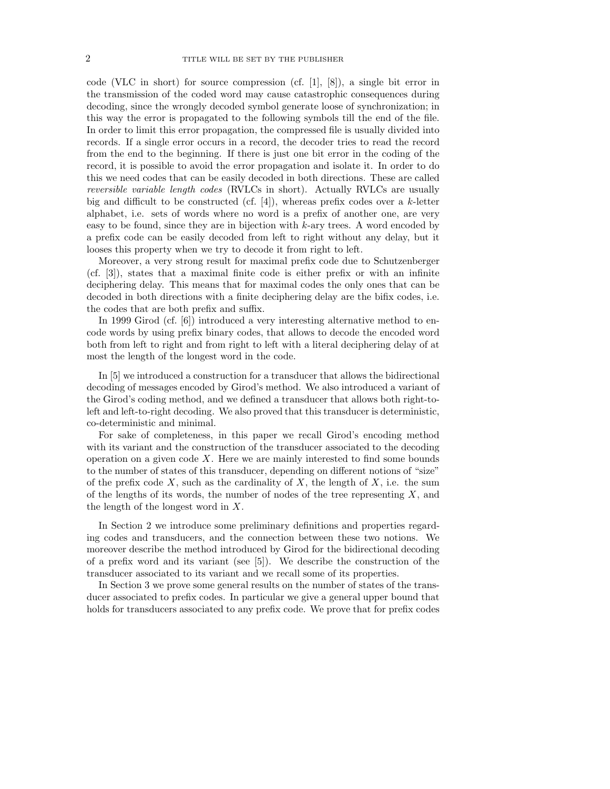code (VLC in short) for source compression (cf.  $[1], [8]$ ), a single bit error in the transmission of the coded word may cause catastrophic consequences during decoding, since the wrongly decoded symbol generate loose of synchronization; in this way the error is propagated to the following symbols till the end of the file. In order to limit this error propagation, the compressed file is usually divided into records. If a single error occurs in a record, the decoder tries to read the record from the end to the beginning. If there is just one bit error in the coding of the record, it is possible to avoid the error propagation and isolate it. In order to do this we need codes that can be easily decoded in both directions. These are called reversible variable length codes (RVLCs in short). Actually RVLCs are usually big and difficult to be constructed (cf. [4]), whereas prefix codes over a  $k$ -letter alphabet, i.e. sets of words where no word is a prefix of another one, are very easy to be found, since they are in bijection with  $k$ -ary trees. A word encoded by a prefix code can be easily decoded from left to right without any delay, but it looses this property when we try to decode it from right to left.

Moreover, a very strong result for maximal prefix code due to Schutzenberger (cf. [3]), states that a maximal finite code is either prefix or with an infinite deciphering delay. This means that for maximal codes the only ones that can be decoded in both directions with a finite deciphering delay are the bifix codes, i.e. the codes that are both prefix and suffix.

In 1999 Girod (cf. [6]) introduced a very interesting alternative method to encode words by using prefix binary codes, that allows to decode the encoded word both from left to right and from right to left with a literal deciphering delay of at most the length of the longest word in the code.

In [5] we introduced a construction for a transducer that allows the bidirectional decoding of messages encoded by Girod's method. We also introduced a variant of the Girod's coding method, and we defined a transducer that allows both right-toleft and left-to-right decoding. We also proved that this transducer is deterministic, co-deterministic and minimal.

For sake of completeness, in this paper we recall Girod's encoding method with its variant and the construction of the transducer associated to the decoding operation on a given code  $X$ . Here we are mainly interested to find some bounds to the number of states of this transducer, depending on different notions of "size" of the prefix code  $X$ , such as the cardinality of  $X$ , the length of  $X$ , i.e. the sum of the lengths of its words, the number of nodes of the tree representing  $X$ , and the length of the longest word in X.

In Section 2 we introduce some preliminary definitions and properties regarding codes and transducers, and the connection between these two notions. We moreover describe the method introduced by Girod for the bidirectional decoding of a prefix word and its variant (see [5]). We describe the construction of the transducer associated to its variant and we recall some of its properties.

In Section 3 we prove some general results on the number of states of the transducer associated to prefix codes. In particular we give a general upper bound that holds for transducers associated to any prefix code. We prove that for prefix codes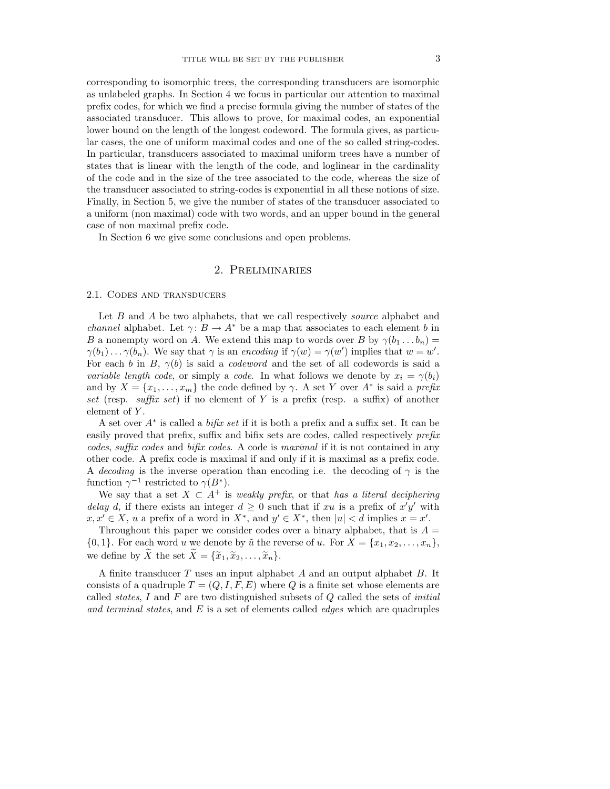corresponding to isomorphic trees, the corresponding transducers are isomorphic as unlabeled graphs. In Section 4 we focus in particular our attention to maximal prefix codes, for which we find a precise formula giving the number of states of the associated transducer. This allows to prove, for maximal codes, an exponential lower bound on the length of the longest codeword. The formula gives, as particular cases, the one of uniform maximal codes and one of the so called string-codes. In particular, transducers associated to maximal uniform trees have a number of states that is linear with the length of the code, and loglinear in the cardinality of the code and in the size of the tree associated to the code, whereas the size of the transducer associated to string-codes is exponential in all these notions of size. Finally, in Section 5, we give the number of states of the transducer associated to a uniform (non maximal) code with two words, and an upper bound in the general case of non maximal prefix code.

In Section 6 we give some conclusions and open problems.

## 2. Preliminaries

#### 2.1. Codes and transducers

Let B and A be two alphabets, that we call respectively *source* alphabet and *channel* alphabet. Let  $\gamma: B \to A^*$  be a map that associates to each element b in B a nonempty word on A. We extend this map to words over B by  $\gamma(b_1 \dots b_n) =$  $\gamma(b_1) \dots \gamma(b_n)$ . We say that  $\gamma$  is an encoding if  $\gamma(w) = \gamma(w')$  implies that  $w = w'$ . For each b in B,  $\gamma(b)$  is said a *codeword* and the set of all codewords is said a variable length code, or simply a code. In what follows we denote by  $x_i = \gamma(b_i)$ and by  $X = \{x_1, \ldots, x_m\}$  the code defined by  $\gamma$ . A set Y over  $A^*$  is said a prefix set (resp. suffix set) if no element of Y is a prefix (resp. a suffix) of another element of Y.

A set over A<sup>∗</sup> is called a bifix set if it is both a prefix and a suffix set. It can be easily proved that prefix, suffix and bifix sets are codes, called respectively prefix codes, suffix codes and bifix codes. A code is maximal if it is not contained in any other code. A prefix code is maximal if and only if it is maximal as a prefix code. A decoding is the inverse operation than encoding i.e. the decoding of  $\gamma$  is the function  $\gamma^{-1}$  restricted to  $\gamma(B^*)$ .

We say that a set  $X \subset A^+$  is weakly prefix, or that has a literal deciphering delay d, if there exists an integer  $d \geq 0$  such that if xu is a prefix of  $x'y'$  with  $x, x' \in X$ , u a prefix of a word in  $X^*$ , and  $y' \in X^*$ , then  $|u| < d$  implies  $x = x'$ .

Throughout this paper we consider codes over a binary alphabet, that is  $A =$  $\{0,1\}$ . For each word u we denote by  $\tilde{u}$  the reverse of u. For  $X = \{x_1, x_2, \ldots, x_n\}$ , we define by  $\widetilde{X}$  the set  $\widetilde{X} = {\widetilde{x}_1, \widetilde{x}_2, \ldots, \widetilde{x}_n}$ .

A finite transducer T uses an input alphabet A and an output alphabet B. It consists of a quadruple  $T = (Q, I, F, E)$  where Q is a finite set whose elements are called *states*, I and F are two distinguished subsets of  $Q$  called the sets of *initial* and terminal states, and  $E$  is a set of elements called *edges* which are quadruples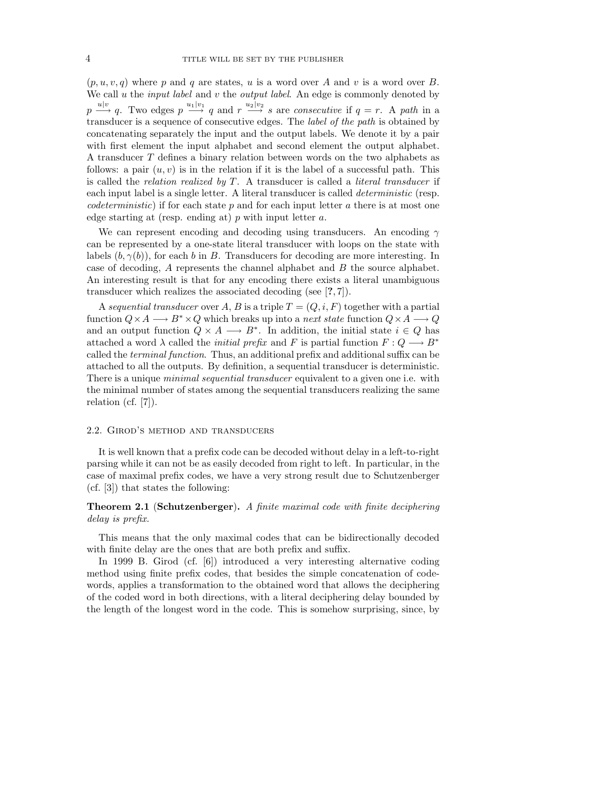$(p, u, v, q)$  where p and q are states, u is a word over A and v is a word over B. We call u the *input label* and  $v$  the *output label*. An edge is commonly denoted by  $p \stackrel{u|v}{\longrightarrow} q$ . Two edges  $p \stackrel{u_1|v_1}{\longrightarrow} q$  and  $r \stackrel{u_2|v_2}{\longrightarrow} s$  are consecutive if  $q = r$ . A path in a transducer is a sequence of consecutive edges. The label of the path is obtained by concatenating separately the input and the output labels. We denote it by a pair with first element the input alphabet and second element the output alphabet. A transducer T defines a binary relation between words on the two alphabets as follows: a pair  $(u, v)$  is in the relation if it is the label of a successful path. This is called the *relation realized by T*. A transducer is called a *literal transducer* if each input label is a single letter. A literal transducer is called *deterministic* (resp. *codeterministic*) if for each state p and for each input letter a there is at most one edge starting at (resp. ending at)  $p$  with input letter  $a$ .

We can represent encoding and decoding using transducers. An encoding  $\gamma$ can be represented by a one-state literal transducer with loops on the state with labels  $(b, \gamma(b))$ , for each b in B. Transducers for decoding are more interesting. In case of decoding, A represents the channel alphabet and B the source alphabet. An interesting result is that for any encoding there exists a literal unambiguous transducer which realizes the associated decoding (see [?, 7]).

A sequential transducer over A, B is a triple  $T = (Q, i, F)$  together with a partial function  $Q \times A \longrightarrow B^* \times Q$  which breaks up into a *next state* function  $Q \times A \longrightarrow Q$ and an output function  $Q \times A \longrightarrow B^*$ . In addition, the initial state  $i \in Q$  has attached a word  $\lambda$  called the *initial prefix* and F is partial function  $F: Q \longrightarrow B^*$ called the terminal function. Thus, an additional prefix and additional suffix can be attached to all the outputs. By definition, a sequential transducer is deterministic. There is a unique *minimal sequential transducer* equivalent to a given one i.e. with the minimal number of states among the sequential transducers realizing the same relation (cf. [7]).

#### 2.2. Girod's method and transducers

It is well known that a prefix code can be decoded without delay in a left-to-right parsing while it can not be as easily decoded from right to left. In particular, in the case of maximal prefix codes, we have a very strong result due to Schutzenberger (cf. [3]) that states the following:

### Theorem 2.1 (Schutzenberger). A finite maximal code with finite deciphering delay is prefix.

This means that the only maximal codes that can be bidirectionally decoded with finite delay are the ones that are both prefix and suffix.

In 1999 B. Girod (cf. [6]) introduced a very interesting alternative coding method using finite prefix codes, that besides the simple concatenation of codewords, applies a transformation to the obtained word that allows the deciphering of the coded word in both directions, with a literal deciphering delay bounded by the length of the longest word in the code. This is somehow surprising, since, by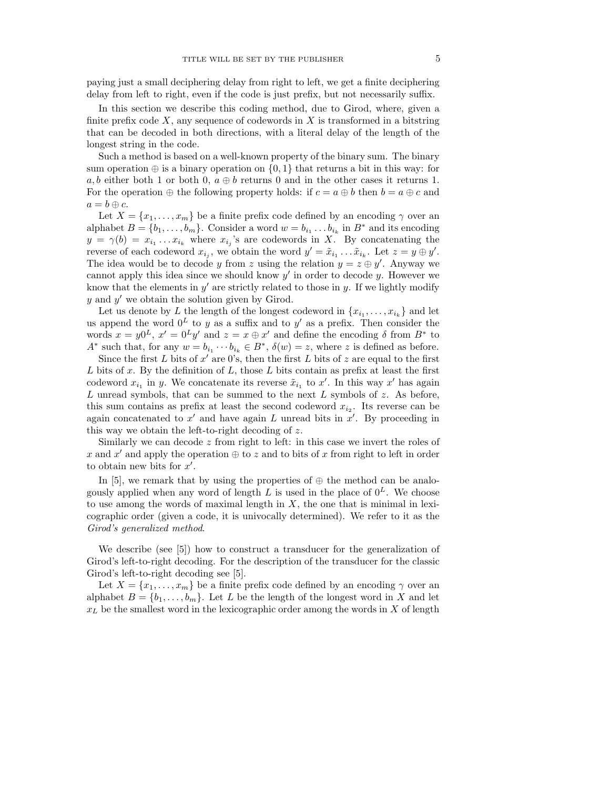paying just a small deciphering delay from right to left, we get a finite deciphering delay from left to right, even if the code is just prefix, but not necessarily suffix.

In this section we describe this coding method, due to Girod, where, given a finite prefix code  $X$ , any sequence of codewords in  $X$  is transformed in a bitstring that can be decoded in both directions, with a literal delay of the length of the longest string in the code.

Such a method is based on a well-known property of the binary sum. The binary sum operation  $\oplus$  is a binary operation on  $\{0, 1\}$  that returns a bit in this way: for a, b either both 1 or both 0,  $a \oplus b$  returns 0 and in the other cases it returns 1. For the operation  $\oplus$  the following property holds: if  $c = a \oplus b$  then  $b = a \oplus c$  and  $a = b \oplus c$ .

Let  $X = \{x_1, \ldots, x_m\}$  be a finite prefix code defined by an encoding  $\gamma$  over an alphabet  $B = \{b_1, \ldots, b_m\}$ . Consider a word  $w = b_{i_1} \ldots b_{i_k}$  in  $B^*$  and its encoding  $y = \gamma(b) = x_{i_1} \dots x_{i_k}$  where  $x_{i_j}$ 's are codewords in X. By concatenating the reverse of each codeword  $x_{i_j}$ , we obtain the word  $y' = \tilde{x}_{i_1} \dots \tilde{x}_{i_k}$ . Let  $z = y \oplus y'$ . The idea would be to decode y from z using the relation  $y = z \oplus y'$ . Anyway we cannot apply this idea since we should know  $y'$  in order to decode  $y$ . However we know that the elements in  $y'$  are strictly related to those in  $y$ . If we lightly modify  $y$  and  $y'$  we obtain the solution given by Girod.

Let us denote by L the length of the longest codeword in  $\{x_{i_1}, \ldots, x_{i_k}\}$  and let us append the word  $0^L$  to y as a suffix and to y' as a prefix. Then consider the words  $x = y0^L$ ,  $x' = 0^Ly'$  and  $z = x \oplus x'$  and define the encoding  $\delta$  from  $B^*$  to  $A^*$  such that, for any  $w = b_{i_1} \cdots b_{i_k} \in B^*$ ,  $\delta(w) = z$ , where z is defined as before.

Since the first  $L$  bits of  $x'$  are 0's, then the first  $L$  bits of  $z$  are equal to the first  $L$  bits of  $x$ . By the definition of  $L$ , those  $L$  bits contain as prefix at least the first codeword  $x_{i_1}$  in y. We concatenate its reverse  $\tilde{x}_{i_1}$  to  $x'$ . In this way  $x'$  has again  $L$  unread symbols, that can be summed to the next  $L$  symbols of  $z$ . As before, this sum contains as prefix at least the second codeword  $x_{i_2}$ . Its reverse can be again concatenated to  $x'$  and have again  $L$  unread bits in  $x'$ . By proceeding in this way we obtain the left-to-right decoding of z.

Similarly we can decode  $z$  from right to left: in this case we invert the roles of x and x' and apply the operation  $\oplus$  to z and to bits of x from right to left in order to obtain new bits for  $x'$ .

In [5], we remark that by using the properties of  $\oplus$  the method can be analogously applied when any word of length  $L$  is used in the place of  $0^L$ . We choose to use among the words of maximal length in  $X$ , the one that is minimal in lexicographic order (given a code, it is univocally determined). We refer to it as the Girod's generalized method.

We describe (see [5]) how to construct a transducer for the generalization of Girod's left-to-right decoding. For the description of the transducer for the classic Girod's left-to-right decoding see [5].

Let  $X = \{x_1, \ldots, x_m\}$  be a finite prefix code defined by an encoding  $\gamma$  over an alphabet  $B = \{b_1, \ldots, b_m\}$ . Let L be the length of the longest word in X and let  $x_L$  be the smallest word in the lexicographic order among the words in X of length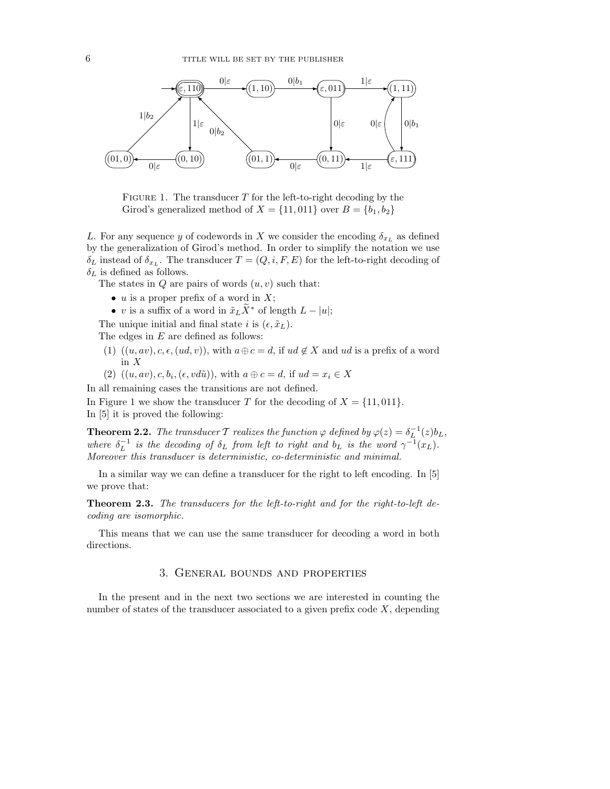

FIGURE 1. The transducer  $T$  for the left-to-right decoding by the Girod's generalized method of  $X = \{11, 011\}$  over  $B = \{b_1, b_2\}$ 

L. For any sequence y of codewords in X we consider the encoding  $\delta_{x_L}$  as defined by the generalization of Girod's method. In order to simplify the notation we use  $\delta_L$  instead of  $\delta_{x_L}$ . The transducer  $T = (Q, i, F, E)$  for the left-to-right decoding of  $\delta_L$  is defined as follows.

The states in  $Q$  are pairs of words  $(u, v)$  such that:

- $u$  is a proper prefix of a word in  $X$ ;
- v is a suffix of a word in  $\tilde{x}_L X^*$  of length  $L |u|$ ;
- The unique initial and final state i is  $(\epsilon, \tilde{x}_L)$ .

The edges in E are defined as follows:

- (1)  $((u, av), c, \epsilon, (ud, v))$ , with  $a \oplus c = d$ , if  $ud \notin X$  and  $ud$  is a prefix of a word in X
- (2)  $((u, av), c, b_i, (\epsilon, vd\tilde{u}))$ , with  $a \oplus c = d$ , if  $ud = x_i \in X$

In all remaining cases the transitions are not defined.

In Figure 1 we show the transducer T for the decoding of  $X = \{11, 011\}$ . In [5] it is proved the following:

**Theorem 2.2.** The transducer  $\mathcal T$  realizes the function  $\varphi$  defined by  $\varphi(z) = \delta^{-1}_L(z) b_L$ , where  $\delta_L^{-1}$  is the decoding of  $\delta_L$  from left to right and  $b_L$  is the word  $\gamma^{-1}(x_L)$ . Moreover this transducer is deterministic, co-deterministic and minimal.

In a similar way we can define a transducer for the right to left encoding. In [5] we prove that:

Theorem 2.3. The transducers for the left-to-right and for the right-to-left decoding are isomorphic.

This means that we can use the same transducer for decoding a word in both directions.

## 3. General bounds and properties

In the present and in the next two sections we are interested in counting the number of states of the transducer associated to a given prefix code  $X$ , depending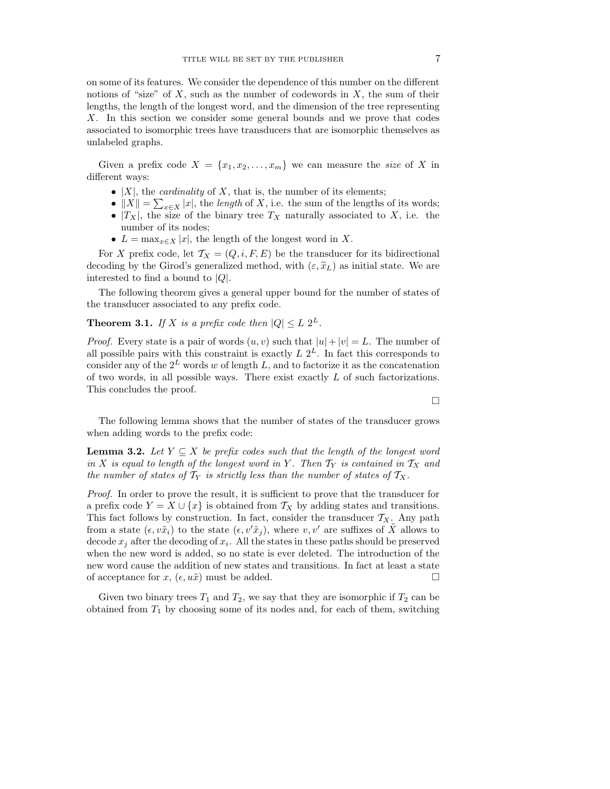on some of its features. We consider the dependence of this number on the different notions of "size" of  $X$ , such as the number of codewords in  $X$ , the sum of their lengths, the length of the longest word, and the dimension of the tree representing X. In this section we consider some general bounds and we prove that codes associated to isomorphic trees have transducers that are isomorphic themselves as unlabeled graphs.

Given a prefix code  $X = \{x_1, x_2, \ldots, x_m\}$  we can measure the size of X in different ways:

- $|X|$ , the *cardinality* of X, that is, the number of its elements;
- $||X|| = \sum_{x \in X} |x|$ , the length of X, i.e. the sum of the lengths of its words;
- $|T_X|$ , the size of the binary tree  $T_X$  naturally associated to X, i.e. the number of its nodes;
- $L = \max_{x \in X} |x|$ , the length of the longest word in X.

For X prefix code, let  $\mathcal{T}_X = (Q, i, F, E)$  be the transducer for its bidirectional decoding by the Girod's generalized method, with  $(\varepsilon, \tilde{x}_L)$  as initial state. We are interested to find a bound to  $|Q|$ .

The following theorem gives a general upper bound for the number of states of the transducer associated to any prefix code.

**Theorem 3.1.** If X is a prefix code then  $|Q| \leq L 2^L$ .

*Proof.* Every state is a pair of words  $(u, v)$  such that  $|u| + |v| = L$ . The number of all possible pairs with this constraint is exactly  $L 2^L$ . In fact this corresponds to consider any of the  $2^L$  words w of length L, and to factorize it as the concatenation of two words, in all possible ways. There exist exactly L of such factorizations. This concludes the proof.

 $\Box$ 

The following lemma shows that the number of states of the transducer grows when adding words to the prefix code:

**Lemma 3.2.** Let  $Y \subseteq X$  be prefix codes such that the length of the longest word in X is equal to length of the longest word in Y. Then  $T_Y$  is contained in  $T_X$  and the number of states of  $\mathcal{T}_Y$  is strictly less than the number of states of  $\mathcal{T}_X$ .

Proof. In order to prove the result, it is sufficient to prove that the transducer for a prefix code  $Y = X \cup \{x\}$  is obtained from  $\mathcal{T}_X$  by adding states and transitions. This fact follows by construction. In fact, consider the transducer  $T_X$ . Any path from a state  $(\epsilon, v\tilde{x}_i)$  to the state  $(\epsilon, v'\tilde{x}_i)$ , where  $v, v'$  are suffixes of X allows to decode  $x_j$  after the decoding of  $x_i$ . All the states in these paths should be preserved when the new word is added, so no state is ever deleted. The introduction of the new word cause the addition of new states and transitions. In fact at least a state of acceptance for  $x, (\epsilon, u\tilde{x})$  must be added.

Given two binary trees  $T_1$  and  $T_2$ , we say that they are isomorphic if  $T_2$  can be obtained from  $T_1$  by choosing some of its nodes and, for each of them, switching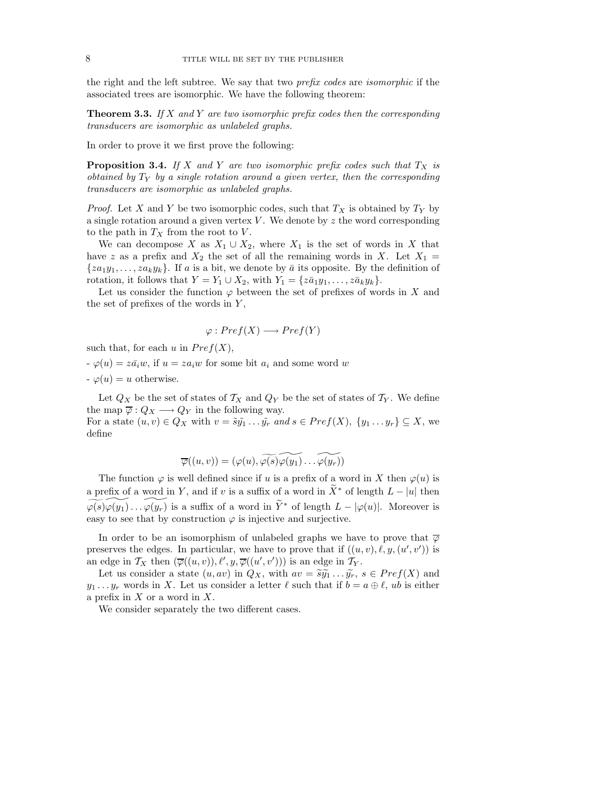the right and the left subtree. We say that two prefix codes are isomorphic if the associated trees are isomorphic. We have the following theorem:

**Theorem 3.3.** If X and Y are two isomorphic prefix codes then the corresponding transducers are isomorphic as unlabeled graphs.

In order to prove it we first prove the following:

**Proposition 3.4.** If X and Y are two isomorphic prefix codes such that  $T_X$  is obtained by  $T_Y$  by a single rotation around a given vertex, then the corresponding transducers are isomorphic as unlabeled graphs.

*Proof.* Let X and Y be two isomorphic codes, such that  $T_X$  is obtained by  $T_Y$  by a single rotation around a given vertex  $V$ . We denote by z the word corresponding to the path in  $T_X$  from the root to V.

We can decompose X as  $X_1 \cup X_2$ , where  $X_1$  is the set of words in X that have z as a prefix and  $X_2$  the set of all the remaining words in X. Let  $X_1 =$  $\{za_1y_1, \ldots, za_ky_k\}$ . If a is a bit, we denote by  $\bar{a}$  its opposite. By the definition of rotation, it follows that  $Y = Y_1 \cup X_2$ , with  $Y_1 = \{z\overline{a}_1y_1, \ldots, z\overline{a}_ky_k\}.$ 

Let us consider the function  $\varphi$  between the set of prefixes of words in X and the set of prefixes of the words in  $Y$ ,

$$
\varphi: Pref(X) \longrightarrow Pref(Y)
$$

such that, for each u in  $Pref(X)$ ,

define

 $\varphi(u) = z\overline{a_i}w$ , if  $u = za_iw$  for some bit  $a_i$  and some word w  $\varphi(u) = u$  otherwise.

Let  $Q_X$  be the set of states of  $\mathcal{T}_X$  and  $Q_Y$  be the set of states of  $\mathcal{T}_Y$ . We define the map  $\overline{\varphi}: Q_X \longrightarrow Q_Y$  in the following way. For a state  $(u, v) \in Q_X$  with  $v = \tilde{s} \tilde{y_1} \dots \tilde{y_r}$  and  $s \in Pref(X)$ ,  $\{y_1 \dots y_r\} \subseteq X$ , we

$$
\overline{\varphi}((u,v))=(\varphi(u),\widetilde{\varphi(s)}\widetilde{\varphi(y_1)}\ldots\widetilde{\varphi(y_r)})
$$

The function  $\varphi$  is well defined since if u is a prefix of a word in X then  $\varphi(u)$  is a prefix of a word in Y, and if v is a suffix of a word in  $\widetilde{X}^*$  of length  $L - |u|$  then  $\widetilde{\varphi(s)}\widetilde{\varphi(y_1)}\ldots \widetilde{\varphi(y_r)}$  is a suffix of a word in  $\widetilde{Y}^*$  of length  $L - |\varphi(u)|$ . Moreover is easy to see that by construction  $\varphi$  is injective and surjective.

In order to be an isomorphism of unlabeled graphs we have to prove that  $\overline{\varphi}$ preserves the edges. In particular, we have to prove that if  $((u, v), \ell, y, (u', v'))$  is an edge in  $\mathcal{T}_X$  then  $(\overline{\varphi}((u, v)), \ell', y, \overline{\varphi}((u', v')))$  is an edge in  $\mathcal{T}_Y$ .

Let us consider a state  $(u, av)$  in  $Q_X$ , with  $av = \tilde{s}\tilde{y_1} \dots \tilde{y_r}$ ,  $s \in Pref(X)$  and  $y_1 \ldots y_r$  words in X. Let us consider a letter  $\ell$  such that if  $b = a \oplus \ell$ , ub is either a prefix in  $X$  or a word in  $X$ .

We consider separately the two different cases.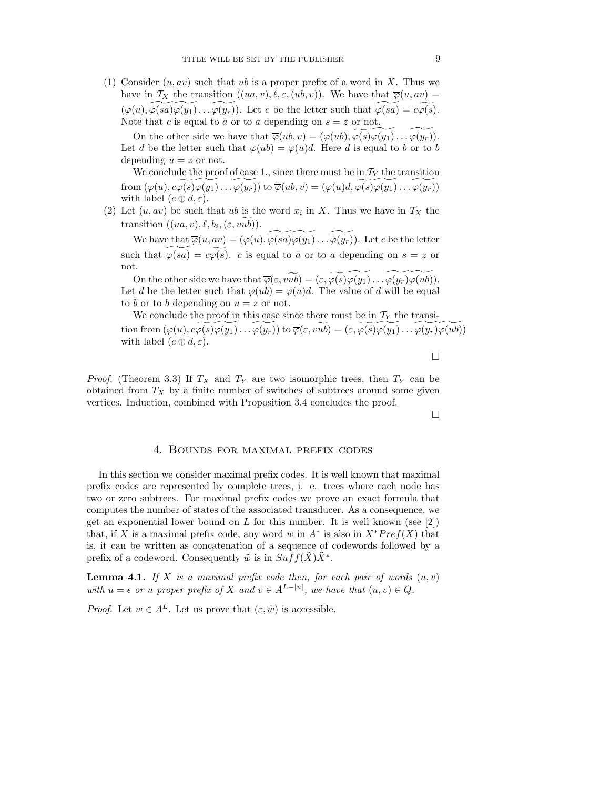(1) Consider  $(u, av)$  such that ub is a proper prefix of a word in X. Thus we have in  $\mathcal{T}_X$  the transition  $((ua, v), \ell, \varepsilon, (ub, v))$ . We have that  $\overline{\varphi}(u, av) =$  $(\varphi(u), \varphi(sa)\varphi(y_1)\ldots \varphi(y_r)).$  Let c be the letter such that  $\varphi(sa) = c\varphi(s).$ Note that c is equal to  $\bar{a}$  or to a depending on  $s = z$  or not.

On the other side we have that  $\overline{\varphi}(ub, v) = (\varphi(ub), \varphi(s)\varphi(y_1)\dots \varphi(y_r)).$ Let d be the letter such that  $\varphi(ub) = \varphi(u)d$ . Here d is equal to  $\bar{b}$  or to b depending  $u = z$  or not.

We conclude the proof of case 1., since there must be in  $\mathcal{T}_Y$  the transition from  $(\varphi(u), c\varphi(s)\varphi(y_1)\dots\varphi(y_r))$  to  $\overline{\varphi}(ub, v) = (\varphi(u)d, \widetilde{\varphi(s)}\varphi(y_1)\dots\varphi(y_r))$ with label  $(c \oplus d, \varepsilon)$ .

(2) Let  $(u, av)$  be such that  $ub \text{ is the word } x_i$  in X. Thus we have in  $\mathcal{T}_X$  the transition  $((ua, v), \ell, b_i, (\varepsilon, vub)).$ 

We have that  $\overline{\varphi}(u, av) = (\varphi(u), \overbrace{\varphi(sa)\varphi(y_1)\dots\varphi(y_r)}^{\sim}$ . Let c be the letter such that  $\varphi(sa) = c\varphi(s)$ . c is equal to  $\bar{a}$  or to a depending on  $s = z$  or not.

On the other side we have that  $\overline{\varphi}(\varepsilon, v\widetilde{ub}) = (\varepsilon, \varphi(s)\varphi(y_1)\dots\varphi(y_r)\varphi(ub)).$ Let d be the letter such that  $\varphi(u) = \varphi(u)d$ . The value of d will be equal to  $\overline{b}$  or to b depending on  $u = z$  or not.

We conclude the proof in this case since there must be in  $\mathcal{T}_Y$  the transition from  $(\varphi(u), c\widetilde{\varphi(s)}\varphi(y_1)\dots \varphi(y_r))$  to  $\overline{\varphi}(\varepsilon, v\widetilde{ub}) = (\varepsilon, \widetilde{\varphi(s)}\varphi(y_1)\dots \varphi(y_r)\varphi(u\widetilde{b}))$ with label  $(c \oplus d, \varepsilon)$ .

*Proof.* (Theorem 3.3) If  $T_X$  and  $T_Y$  are two isomorphic trees, then  $T_Y$  can be obtained from  $T_X$  by a finite number of switches of subtrees around some given vertices. Induction, combined with Proposition 3.4 concludes the proof.

 $\Box$ 

 $\Box$ 

#### 4. Bounds for maximal prefix codes

In this section we consider maximal prefix codes. It is well known that maximal prefix codes are represented by complete trees, i. e. trees where each node has two or zero subtrees. For maximal prefix codes we prove an exact formula that computes the number of states of the associated transducer. As a consequence, we get an exponential lower bound on L for this number. It is well known (see [2]) that, if X is a maximal prefix code, any word w in  $A^*$  is also in  $X^*Pref(X)$  that is, it can be written as concatenation of a sequence of codewords followed by a prefix of a codeword. Consequently  $\tilde{w}$  is in  $Suff(\tilde{X})\tilde{X}^*$ .

**Lemma 4.1.** If X is a maximal prefix code then, for each pair of words  $(u, v)$ with  $u = \epsilon$  or u proper prefix of X and  $v \in A^{L-|u|}$ , we have that  $(u, v) \in Q$ .

*Proof.* Let  $w \in A^L$ . Let us prove that  $(\varepsilon, \tilde{w})$  is accessible.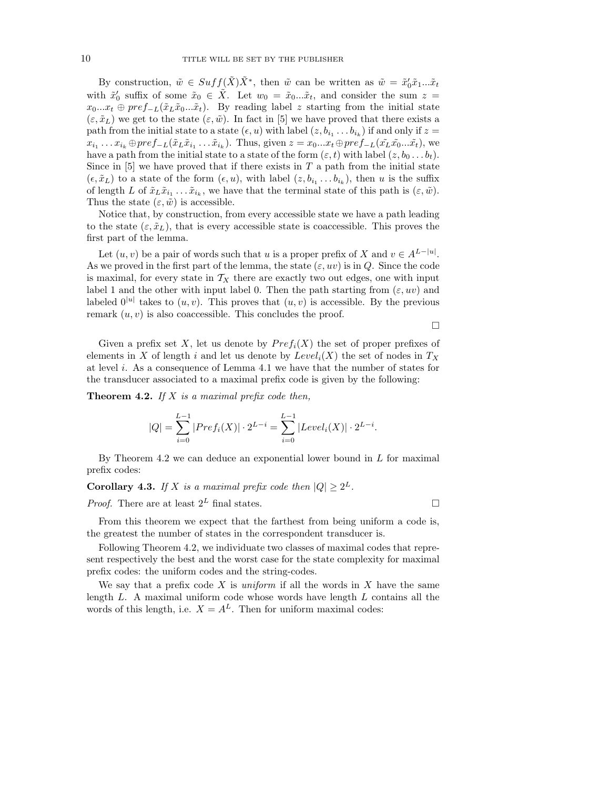By construction,  $\tilde{w} \in Suff(\tilde{X})\tilde{X}^*$ , then  $\tilde{w}$  can be written as  $\tilde{w} = \tilde{x}'_0\tilde{x}_1...\tilde{x}_t$ with  $\tilde{x}'_0$  suffix of some  $\tilde{x}_0 \in \tilde{X}$ . Let  $w_0 = \tilde{x}_0...\tilde{x}_t$ , and consider the sum  $z =$  $x_0...x_t \oplus pref_{-L}(\tilde{x}_L\tilde{x}_0...\tilde{x}_t)$ . By reading label z starting from the initial state  $(\varepsilon, \tilde{x}_L)$  we get to the state  $(\varepsilon, \tilde{w})$ . In fact in [5] we have proved that there exists a path from the initial state to a state  $(\epsilon, u)$  with label  $(z, b_{i_1} \ldots b_{i_k})$  if and only if  $z =$  $x_{i_1} \dots x_{i_k} \oplus pref_{-L}(\tilde{x}_L \tilde{x}_{i_1} \dots \tilde{x}_{i_k})$ . Thus, given  $z = x_0 \dots x_t \oplus pref_{-L}(\tilde{x}_L \tilde{x}_0 \dots \tilde{x}_t)$ , we have a path from the initial state to a state of the form  $(\varepsilon, t)$  with label  $(z, b_0 \ldots b_t)$ . Since in  $[5]$  we have proved that if there exists in T a path from the initial state  $(\epsilon, \tilde{x}_L)$  to a state of the form  $(\epsilon, u)$ , with label  $(z, b_{i_1} \ldots b_{i_k})$ , then u is the suffix of length L of  $\tilde{x}_L \tilde{x}_{i_1} \ldots \tilde{x}_{i_k}$ , we have that the terminal state of this path is  $(\varepsilon, \tilde{w})$ . Thus the state  $(\varepsilon, \tilde{w})$  is accessible.

Notice that, by construction, from every accessible state we have a path leading to the state  $(\varepsilon, \tilde{x}_L)$ , that is every accessible state is coaccessible. This proves the first part of the lemma.

Let  $(u, v)$  be a pair of words such that u is a proper prefix of X and  $v \in A^{L-|u|}$ . As we proved in the first part of the lemma, the state  $(\varepsilon, uv)$  is in Q. Since the code is maximal, for every state in  $T_X$  there are exactly two out edges, one with input label 1 and the other with input label 0. Then the path starting from  $(\varepsilon, uv)$  and labeled  $0^{|u|}$  takes to  $(u, v)$ . This proves that  $(u, v)$  is accessible. By the previous remark  $(u, v)$  is also coaccessible. This concludes the proof.

 $\Box$ 

Given a prefix set X, let us denote by  $Pref_i(X)$  the set of proper prefixes of elements in X of length i and let us denote by  $Level_i(X)$  the set of nodes in  $T_X$ at level i. As a consequence of Lemma 4.1 we have that the number of states for the transducer associated to a maximal prefix code is given by the following:

**Theorem 4.2.** If X is a maximal prefix code then,

$$
|Q| = \sum_{i=0}^{L-1} |Pref_i(X)| \cdot 2^{L-i} = \sum_{i=0}^{L-1} |Level_i(X)| \cdot 2^{L-i}.
$$

By Theorem 4.2 we can deduce an exponential lower bound in  $L$  for maximal prefix codes:

**Corollary 4.3.** If X is a maximal prefix code then  $|Q| \ge 2^L$ .

*Proof.* There are at least  $2^L$  final states.

From this theorem we expect that the farthest from being uniform a code is, the greatest the number of states in the correspondent transducer is.

Following Theorem 4.2, we individuate two classes of maximal codes that represent respectively the best and the worst case for the state complexity for maximal prefix codes: the uniform codes and the string-codes.

We say that a prefix code  $X$  is *uniform* if all the words in  $X$  have the same length L. A maximal uniform code whose words have length L contains all the words of this length, i.e.  $X = A^L$ . Then for uniform maximal codes: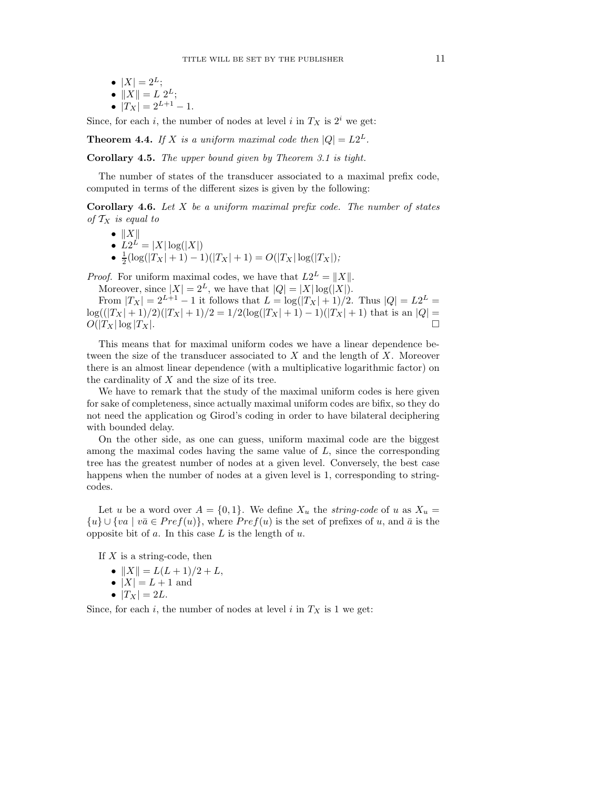\n- $$
|X| = 2^L;
$$
\n- $||X|| = L 2^L;$
\n- $|Tx| = L 2^{L+1} - 1.$
\n

Since, for each i, the number of nodes at level i in  $T_X$  is  $2^i$  we get:

**Theorem 4.4.** If X is a uniform maximal code then  $|Q| = L2^L$ .

Corollary 4.5. The upper bound given by Theorem 3.1 is tight.

The number of states of the transducer associated to a maximal prefix code, computed in terms of the different sizes is given by the following:

**Corollary 4.6.** Let  $X$  be a uniform maximal prefix code. The number of states of  $T_X$  is equal to

$$
\bullet \ \|\boldsymbol{X}\|
$$

- $L2^L = |X| \log(|X|)$
- $\frac{1}{2}(\log(|T_X| + 1) 1)(|T_X| + 1) = O(|T_X| \log(|T_X|);$

*Proof.* For uniform maximal codes, we have that  $L2^L = ||X||$ .

Moreover, since  $|X| = 2^L$ , we have that  $|Q| = |X| \log(|X|)$ . From  $|T_X| = 2^{L+1} - 1$  it follows that  $L = \log(|T_X| + 1)/2$ . Thus  $|Q| = L2^L =$ 

 $\log((|T_X|+1)/2)(|T_X|+1)/2 = 1/2(\log(|T_X|+1)-1)(|T_X|+1)$  that is an  $|Q| =$  $O(|T_X| \log |T_X|$ .

This means that for maximal uniform codes we have a linear dependence between the size of the transducer associated to  $X$  and the length of  $X$ . Moreover there is an almost linear dependence (with a multiplicative logarithmic factor) on the cardinality of  $X$  and the size of its tree.

We have to remark that the study of the maximal uniform codes is here given for sake of completeness, since actually maximal uniform codes are bifix, so they do not need the application og Girod's coding in order to have bilateral deciphering with bounded delay.

On the other side, as one can guess, uniform maximal code are the biggest among the maximal codes having the same value of  $L$ , since the corresponding tree has the greatest number of nodes at a given level. Conversely, the best case happens when the number of nodes at a given level is 1, corresponding to stringcodes.

Let u be a word over  $A = \{0, 1\}$ . We define  $X_u$  the *string-code* of u as  $X_u$  $\{u\} \cup \{va \mid v\bar{a} \in Pref(u)\}\,$ , where  $Pref(u)$  is the set of prefixes of u, and  $\bar{a}$  is the opposite bit of a. In this case L is the length of u.

If  $X$  is a string-code, then

- $||X|| = L(L + 1)/2 + L$ ,
- $|X| = L + 1$  and
- $|T_X| = 2L$ .

Since, for each i, the number of nodes at level i in  $T<sub>X</sub>$  is 1 we get: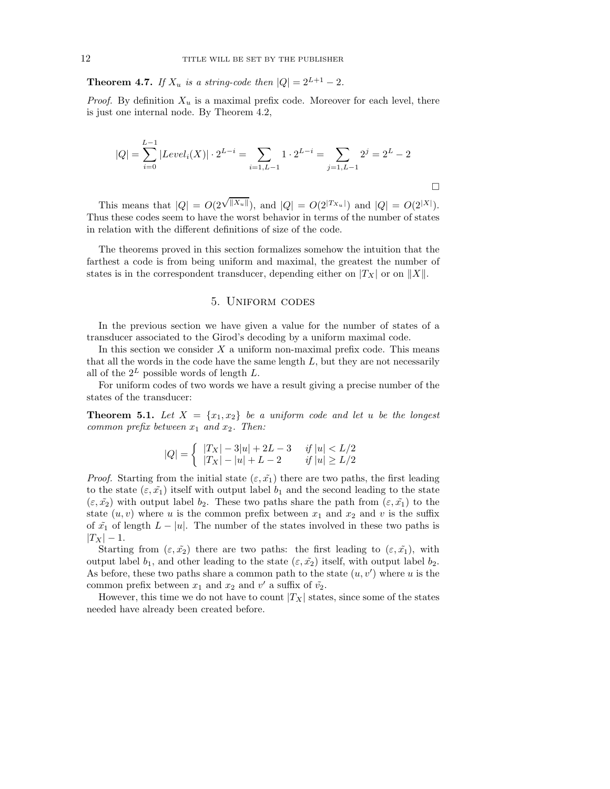**Theorem 4.7.** If  $X_u$  is a string-code then  $|Q| = 2^{L+1} - 2$ .

*Proof.* By definition  $X_u$  is a maximal prefix code. Moreover for each level, there is just one internal node. By Theorem 4.2,

$$
|Q| = \sum_{i=0}^{L-1} |Level_i(X)| \cdot 2^{L-i} = \sum_{i=1, L-1} 1 \cdot 2^{L-i} = \sum_{j=1, L-1} 2^j = 2^L - 2
$$

This means that  $|Q| = O(2^{\sqrt{||X_u||}})$ , and  $|Q| = O(2^{|T_{X_u}|})$  and  $|Q| = O(2^{|X|})$ . Thus these codes seem to have the worst behavior in terms of the number of states in relation with the different definitions of size of the code.

The theorems proved in this section formalizes somehow the intuition that the farthest a code is from being uniform and maximal, the greatest the number of states is in the correspondent transducer, depending either on  $|T_X|$  or on  $||X||$ .

### 5. Uniform codes

In the previous section we have given a value for the number of states of a transducer associated to the Girod's decoding by a uniform maximal code.

In this section we consider  $X$  a uniform non-maximal prefix code. This means that all the words in the code have the same length  $L$ , but they are not necessarily all of the  $2^L$  possible words of length L.

For uniform codes of two words we have a result giving a precise number of the states of the transducer:

**Theorem 5.1.** Let  $X = \{x_1, x_2\}$  be a uniform code and let u be the longest common prefix between  $x_1$  and  $x_2$ . Then:

$$
|Q| = \begin{cases} |T_X| - 3|u| + 2L - 3 & \text{if } |u| < L/2 \\ |T_X| - |u| + L - 2 & \text{if } |u| \ge L/2 \end{cases}
$$

*Proof.* Starting from the initial state  $(\varepsilon, \tilde{x_1})$  there are two paths, the first leading to the state  $(\varepsilon, \tilde{x_1})$  itself with output label  $b_1$  and the second leading to the state  $(\varepsilon, \tilde{x_2})$  with output label  $b_2$ . These two paths share the path from  $(\varepsilon, \tilde{x_1})$  to the state  $(u, v)$  where u is the common prefix between  $x_1$  and  $x_2$  and v is the suffix of  $\tilde{x}_1$  of length  $L - |u|$ . The number of the states involved in these two paths is  $|T_X| - 1.$ 

Starting from  $(\varepsilon, \tilde{x_2})$  there are two paths: the first leading to  $(\varepsilon, \tilde{x_1})$ , with output label  $b_1$ , and other leading to the state  $(\varepsilon, \tilde{x_2})$  itself, with output label  $b_2$ . As before, these two paths share a common path to the state  $(u, v')$  where u is the common prefix between  $x_1$  and  $x_2$  and  $v'$  a suffix of  $\tilde{v_2}$ .

However, this time we do not have to count  $|T_X|$  states, since some of the states needed have already been created before.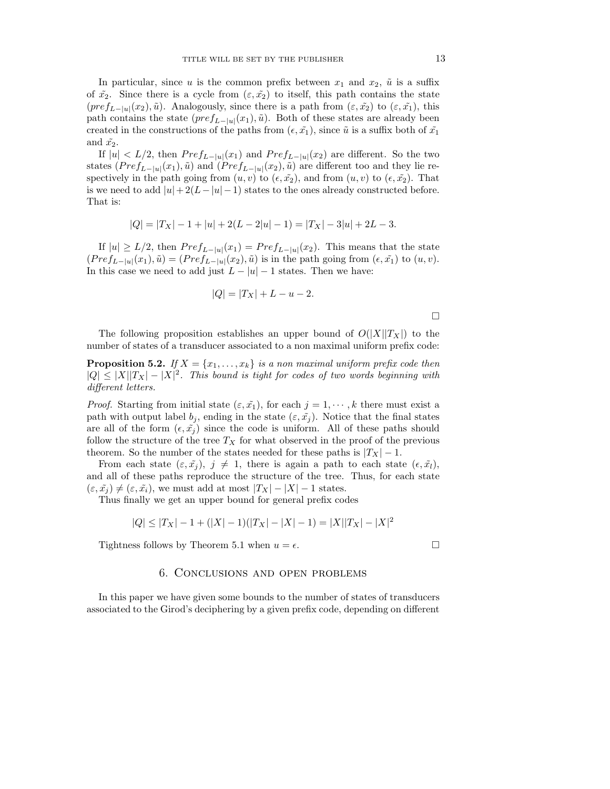In particular, since u is the common prefix between  $x_1$  and  $x_2$ ,  $\tilde{u}$  is a suffix of  $\tilde{x}_2$ . Since there is a cycle from  $(\varepsilon, \tilde{x_2})$  to itself, this path contains the state  $(pref_{L-|u|}(x_2), \tilde{u})$ . Analogously, since there is a path from  $(\varepsilon, \tilde{x_2})$  to  $(\varepsilon, \tilde{x_1})$ , this path contains the state  $(pref_{L-|u|}(x_1), \tilde{u})$ . Both of these states are already been created in the constructions of the paths from  $(\epsilon, \tilde{x_1})$ , since  $\tilde{u}$  is a suffix both of  $\tilde{x_1}$ and  $\tilde{x_2}$ .

If  $|u| < L/2$ , then  $Pref_{L-|u|}(x_1)$  and  $Pref_{L-|u|}(x_2)$  are different. So the two states  $(Pref_{L-|u|}(x_1), \tilde{u})$  and  $(Pref_{L-|u|}(x_2), \tilde{u})$  are different too and they lie respectively in the path going from  $(u, v)$  to  $(\epsilon, \tilde{x_2})$ , and from  $(u, v)$  to  $(\epsilon, \tilde{x_2})$ . That is we need to add  $|u|+2(L-|u|-1)$  states to the ones already constructed before. That is:

$$
|Q| = |T_X| - 1 + |u| + 2(L - 2|u| - 1) = |T_X| - 3|u| + 2L - 3.
$$

If  $|u| \ge L/2$ , then  $Pref_{L-|u|}(x_1) = Pref_{L-|u|}(x_2)$ . This means that the state  $(Pref_{L-|u|}(x_1), \tilde{u}) = (Pref_{L-|u|}(x_2), \tilde{u})$  is in the path going from  $(\epsilon, \tilde{x_1})$  to  $(u, v)$ . In this case we need to add just  $L - |u| - 1$  states. Then we have:

$$
|Q| = |T_X| + L - u - 2.
$$

The following proposition establishes an upper bound of  $O(|X||T_X|)$  to the number of states of a transducer associated to a non maximal uniform prefix code:

**Proposition 5.2.** If  $X = \{x_1, \ldots, x_k\}$  is a non-maximal uniform prefix code then  $|Q| \leq |X||T_X| - |X|^2$ . This bound is tight for codes of two words beginning with different letters.

*Proof.* Starting from initial state  $(\varepsilon, \tilde{x_1})$ , for each  $j = 1, \dots, k$  there must exist a path with output label  $b_j$ , ending in the state  $(\varepsilon, \tilde{x_j})$ . Notice that the final states are all of the form  $(\epsilon, \tilde{x}_j)$  since the code is uniform. All of these paths should follow the structure of the tree  $T_X$  for what observed in the proof of the previous theorem. So the number of the states needed for these paths is  $|T_X| - 1$ .

From each state  $(\varepsilon, \tilde{x}_j), j \neq 1$ , there is again a path to each state  $(\varepsilon, \tilde{x}_l)$ , and all of these paths reproduce the structure of the tree. Thus, for each state  $(\varepsilon, \tilde{x_j}) \neq (\varepsilon, \tilde{x_i})$ , we must add at most  $|T_X| - |X| - 1$  states.

Thus finally we get an upper bound for general prefix codes

$$
|Q| \leq |T_X| - 1 + (|X| - 1)(|T_X| - |X| - 1) = |X||T_X| - |X|^2
$$

Tightness follows by Theorem 5.1 when  $u = \epsilon$ .

#### 6. Conclusions and open problems

In this paper we have given some bounds to the number of states of transducers associated to the Girod's deciphering by a given prefix code, depending on different

 $\Box$